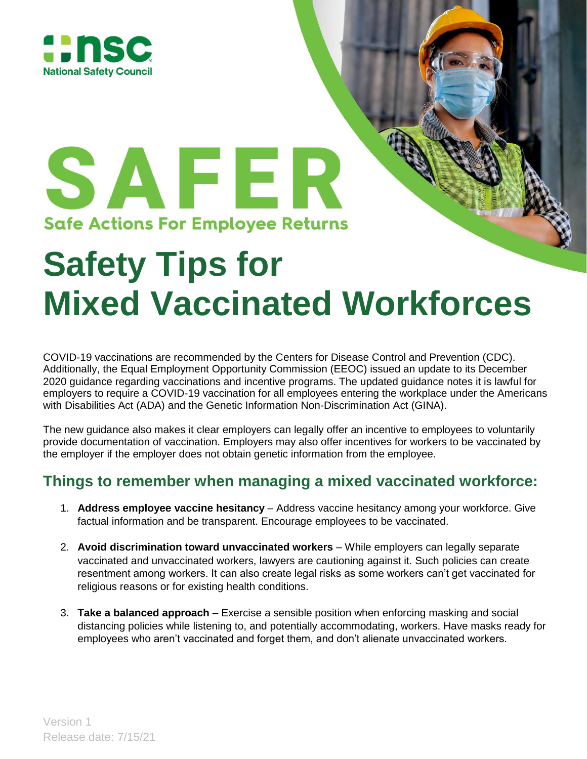

## SAFER **Safe Actions For Employee Returns**

## **Safety Tips for Mixed Vaccinated Workforces**

COVID-19 vaccinations are recommended by the Centers for Disease Control and Prevention (CDC). Additionally, the Equal Employment Opportunity Commission (EEOC) issued an update to its December 2020 guidance regarding vaccinations and incentive programs. The updated guidance notes it is lawful for employers to require a COVID-19 vaccination for all employees entering the workplace under the Americans with Disabilities Act (ADA) and the Genetic Information Non-Discrimination Act (GINA).

The new guidance also makes it clear employers can legally offer an incentive to employees to voluntarily provide documentation of vaccination. Employers may also offer incentives for workers to be vaccinated by the employer if the employer does not obtain genetic information from the employee.

## **Things to remember when managing a mixed vaccinated workforce:**

- 1. **Address employee vaccine hesitancy** Address vaccine hesitancy among your workforce. Give factual information and be transparent. Encourage employees to be vaccinated.
- 2. **Avoid discrimination toward unvaccinated workers**  While employers can legally separate vaccinated and unvaccinated workers, lawyers are cautioning against it. Such policies can create resentment among workers. It can also create legal risks as some workers can't get vaccinated for religious reasons or for existing health conditions.
- 3. **Take a balanced approach** Exercise a sensible position when enforcing masking and social distancing policies while listening to, and potentially accommodating, workers. Have masks ready for employees who aren't vaccinated and forget them, and don't alienate unvaccinated workers.